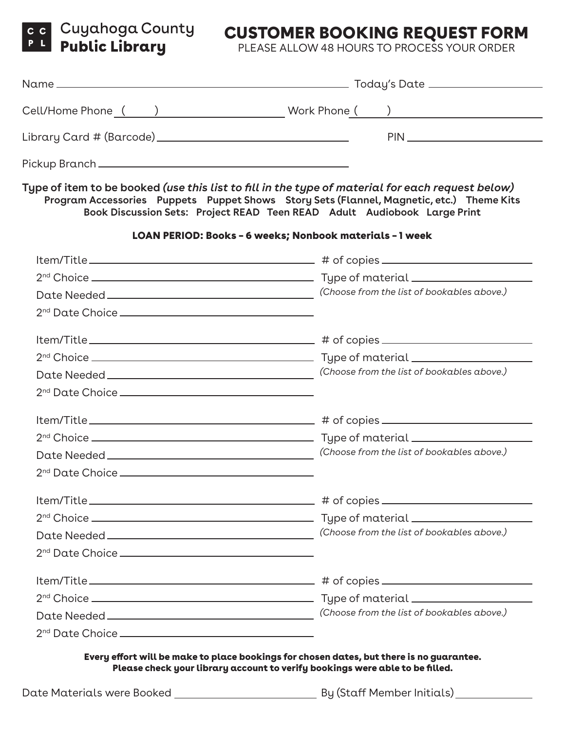## CUSTOMER BOOKING REQUEST FORM

PLEASE ALLOW 48 HOURS TO PROCESS YOUR ORDER

| Type of item to be booked (use this list to fill in the type of material for each request below)<br>Program Accessories Puppets Puppet Shows Story Sets (Flannel, Magnetic, etc.) Theme Kits<br>Book Discussion Sets: Project READ Teen READ Adult Audiobook Large Print |
|--------------------------------------------------------------------------------------------------------------------------------------------------------------------------------------------------------------------------------------------------------------------------|
| LOAN PERIOD: Books - 6 weeks; Nonbook materials - 1 week                                                                                                                                                                                                                 |
|                                                                                                                                                                                                                                                                          |
|                                                                                                                                                                                                                                                                          |
|                                                                                                                                                                                                                                                                          |
|                                                                                                                                                                                                                                                                          |
|                                                                                                                                                                                                                                                                          |
|                                                                                                                                                                                                                                                                          |
|                                                                                                                                                                                                                                                                          |
|                                                                                                                                                                                                                                                                          |
|                                                                                                                                                                                                                                                                          |
|                                                                                                                                                                                                                                                                          |
|                                                                                                                                                                                                                                                                          |
|                                                                                                                                                                                                                                                                          |
|                                                                                                                                                                                                                                                                          |
|                                                                                                                                                                                                                                                                          |
|                                                                                                                                                                                                                                                                          |
|                                                                                                                                                                                                                                                                          |
|                                                                                                                                                                                                                                                                          |
|                                                                                                                                                                                                                                                                          |
|                                                                                                                                                                                                                                                                          |
|                                                                                                                                                                                                                                                                          |